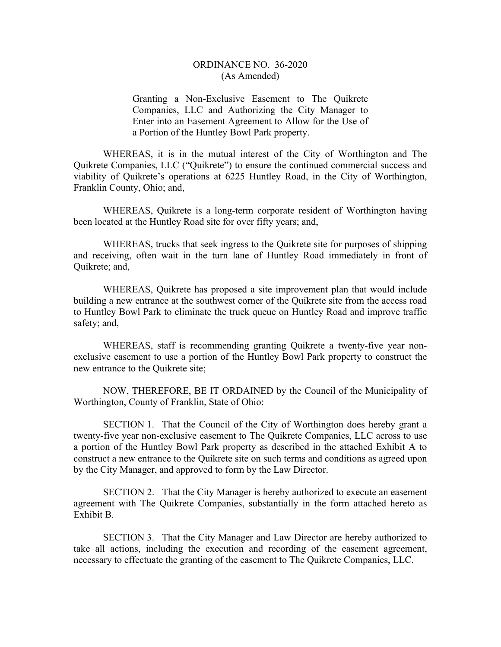## ORDINANCE NO. 36-2020 (As Amended)

Granting a Non-Exclusive Easement to The Quikrete Companies, LLC and Authorizing the City Manager to Enter into an Easement Agreement to Allow for the Use of a Portion of the Huntley Bowl Park property.

 WHEREAS, it is in the mutual interest of the City of Worthington and The Quikrete Companies, LLC ("Quikrete") to ensure the continued commercial success and viability of Quikrete's operations at 6225 Huntley Road, in the City of Worthington, Franklin County, Ohio; and,

 WHEREAS, Quikrete is a long-term corporate resident of Worthington having been located at the Huntley Road site for over fifty years; and,

 WHEREAS, trucks that seek ingress to the Quikrete site for purposes of shipping and receiving, often wait in the turn lane of Huntley Road immediately in front of Quikrete; and,

 WHEREAS, Quikrete has proposed a site improvement plan that would include building a new entrance at the southwest corner of the Quikrete site from the access road to Huntley Bowl Park to eliminate the truck queue on Huntley Road and improve traffic safety; and,

 WHEREAS, staff is recommending granting Quikrete a twenty-five year nonexclusive easement to use a portion of the Huntley Bowl Park property to construct the new entrance to the Quikrete site;

 NOW, THEREFORE, BE IT ORDAINED by the Council of the Municipality of Worthington, County of Franklin, State of Ohio:

 SECTION 1. That the Council of the City of Worthington does hereby grant a twenty-five year non-exclusive easement to The Quikrete Companies, LLC across to use a portion of the Huntley Bowl Park property as described in the attached Exhibit A to construct a new entrance to the Quikrete site on such terms and conditions as agreed upon by the City Manager, and approved to form by the Law Director.

 SECTION 2. That the City Manager is hereby authorized to execute an easement agreement with The Quikrete Companies, substantially in the form attached hereto as Exhibit B.

SECTION 3. That the City Manager and Law Director are hereby authorized to take all actions, including the execution and recording of the easement agreement, necessary to effectuate the granting of the easement to The Quikrete Companies, LLC.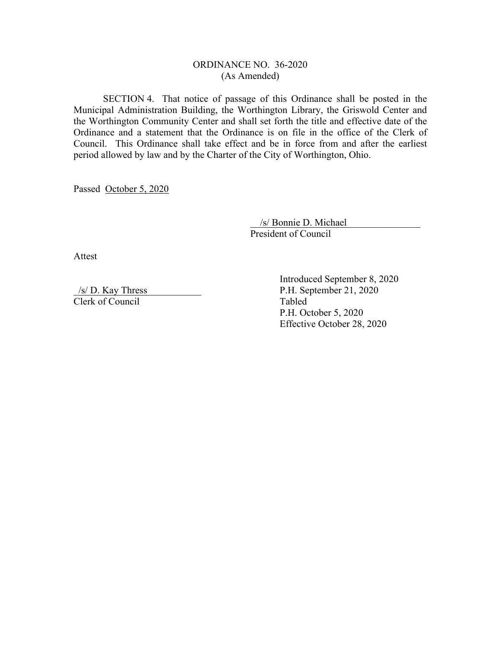## ORDINANCE NO. 36-2020 (As Amended)

SECTION 4. That notice of passage of this Ordinance shall be posted in the Municipal Administration Building, the Worthington Library, the Griswold Center and the Worthington Community Center and shall set forth the title and effective date of the Ordinance and a statement that the Ordinance is on file in the office of the Clerk of Council. This Ordinance shall take effect and be in force from and after the earliest period allowed by law and by the Charter of the City of Worthington, Ohio.

Passed October 5, 2020

\_\_/s/ Bonnie D. Michael\_\_\_\_\_\_\_\_\_\_\_\_\_\_\_ President of Council

Attest

\_/s/ D. Kay Thress\_\_\_\_\_\_\_\_\_\_\_ Tabled Tabled

Introduced September 8, 2020 P.H. September 21, 2020 P.H. October 5, 2020 Effective October 28, 2020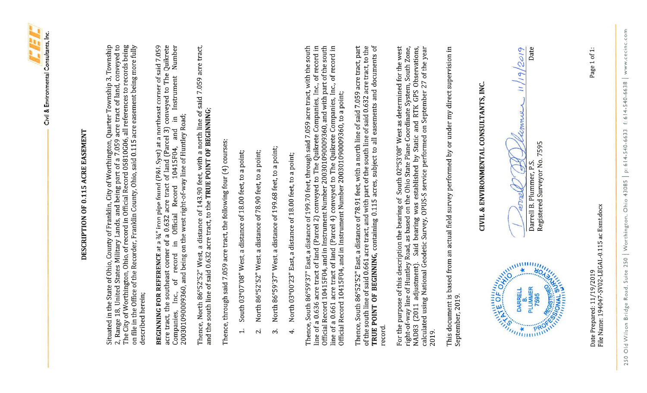

## DESCRIPTION OF 0.115 ACRE EASEMENT

Situated in the State of Ohio, County of Franklin, City of Worthington, Quarter Township 3, Township<br>2, Range 18, United States Military Lands, and being part of a 7.059 acre tract of land, conveyed to<br>The City of Worthing described herein; BEGINNING FOR REFERENCE at a 34" iron pipe found (P&L Syst) at a northeast corner of said 7.059 acre tract, the southeast corner of a 0.632 acre tract of land (Parcel 3) conveyed to The Quikrete Number in Instrument 200301090009360, and being on the west right-of-way line of Huntley Road; and Record 10415F04, Official  $\Xi$ record  $\sigma$ Inc., Companies,

acre tract, Thence, North 86°52'52" West, a distance of 143.90 feet, with a north line of said 7.059 and the south line of said 0.632 acre tract, to the TRUE POINT OF BEGINNING;

Thence, through said 7.059 acre tract, the following four (4) courses;

- South 03°07'08" West, a distance of 18.00 feet, to a point;  $\div$
- North 86°52'52" West, a distance of 78.90 feet, to a point;  $\overline{N}$
- North 86°59'37" West, a distance of 199.68 feet, to a point;  $\vec{S}$
- North 03°00'23" East, a distance of 18.00 feet, to a point;  $\ddot{\bm{r}}$

Thence, South 86°59'37" East, a distance of 199.70 feet, through said 7.059 acre tract, with the south line of a 0.636 acre tract of land (Parcel 2) conveyed to The Quikrete Companies, Inc., of record in Official Record 10415F04, and in Instrument Number 20030109009360, and with part of the south acre tract of land (Parcel 4) conveyed to The Quikrete Companies, Inc., of record in Official Record 10415F04, and in Instrument Number 200301090009360, to a point; line of a 0.661

Thence, South 86°52'52" East, a distance of 78.91 feet, with a north line of said 7.059 acre tract, part of the south line of said 0.661 acre tract, and with part of the south line of said 0.632 acre tract, to the<br>TRUE POINT OF BEGINNING, containing 0.115 acres, subject to all easements and documents of record

For the purpose of this description the bearing of South 02°53'08" West as determined for the west right-of-way line of Huntley Road, as based on the Ohio State Plane Coordinate System, South Zone, Said bearing was established by Static and RTK GPS Observations, calculated using National Geodetic Survey, OPUS-S service performed on September 27 of the year NAD83 (2011 adjustment). 2019. This document is based from an actual field survey performed by or under my direct supervision in September, 2019

## CIVIL & ENVIRONMENTAL CONSULTANTS, INC.



 $\sqrt{9}$ comma Darrell B. Plummer, P. arrel

S Registered Surveyor No. 759

Date  $2019$ 

File Name: 194047-SV02-LEGAL-0.115 ac Esmt.docx Date Prepared: 11/19/2019

250 Old Wilson Bridge Road, Suite 250 | Worthington, Ohio 43085 | p: 614-540-6633 f: 614-540-6638 | www.cecinc.com

Page 1 of 1: